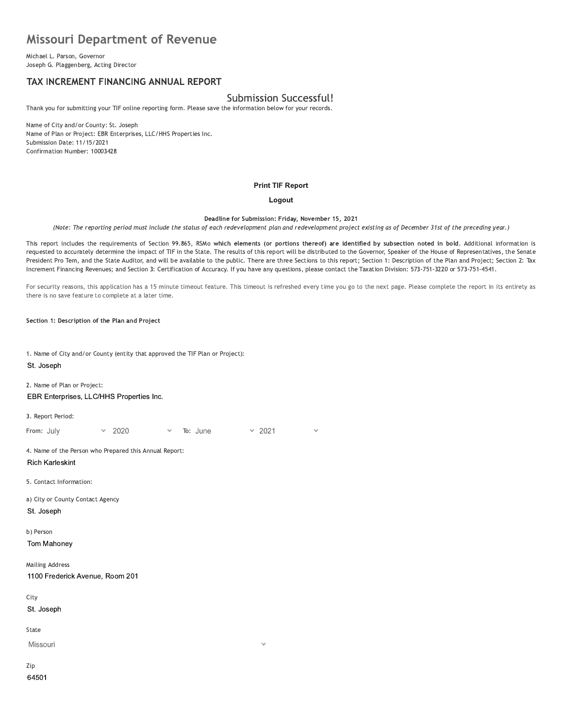# missouri Department of Revenue **Missouri Department o**<br>
Michael L. Parson, Governor<br>
Joseph G. Plaggenberg, Acting Director<br> **TAX INCREMENT FINANCING AI**<br>
Thank you for submitting your TIF online repor<br>
Name of City and/or County: St. Joseph

Michael L. Parson, Governor<br>Joseph G. Plaggenberg, Acting Director

# TAX INCREMENT FINANCING ANNUAL REPORT

# Submission Successful!

Thank you for submitting your TIF online reporting form. Please save the information below for your records.

Name of City and/or County: St. Joseph Name of Plan or Project: EBR Enterprises, LLC/HHS Properties Inc. Submission Date: 11/15/2021 Confirmation Number: 10003428

#### **Print TIF Report**

## Logout

Deadline for Submission: Friday, November 15, 2021

(Note: The reporting period must include the status of each redevelopment plan and redevelopment project existing as of December 31st of the preceding year.)

This report includes the requirements of Section 99.865, RSMO which elements (or portions thereor) are identified by subsection noted in December 31st of the preceding year.)<br>
tion noted in bold. Additional information is<br>
ker of the House of Representatives, the Senate<br>
cription of the Plan and Project; Section 2: Tax<br>
n: 573-751-3220 or 573-751-4541.<br>
e. requested to accurately determine the impact of TIF in the State. The results of this report will be distributed to the Governor, Speaker of the House of Representatives, the Senate<br>President Pro Tem, and the State Auditor Deadline for Submitsion: Friday, November 15, 2021<br>
Ris report includes the requirements of Section 99.865, RSMo which elements (or portions thereof) are identified by subsection noted in bold. Additional information is<br>
r Deadline for Submission: Friday, November 15, 2021<br>(Note: The reporting period must include the status of each redevelopment plan and redevelopment project existing as of December 31st of the preceding year.<br>This report in

For security reasons, this application has a 15 minute timeout feature. This timeout is refreshed every time you go to the next page. Please complete the report in its entirety as there is no save feature to complete at a later time.

Section 1: Description of the Plan and Project

1. Name of City and/or County (entity that approved the TIF Plan or Project): St. Joseph

2. Name of Plan or Project: EBR Enterprises, LLC/HHS Properties Inc.

3. Report Period:

EBR Enterprises, LLC/HHS Properties Inc.<br>
3. Report Period:<br>
From: July v 2020 v To: June v 2<br>
4. Name of the Person who Prepared this Annual Report:<br>
Rich Karleskint<br>
5. Contact Information:<br>
a) City or County Contact Age Rich Karleskint 4. Name of the Person who Prepared this Annual<br>
Rich Karleskint<br>
5. Contact Information:<br>
a) City or County Contact Agency<br>
St. Joseph<br>
b) Person<br>
Tom Mahoney<br>
Mailing Address

5. Contact Information:

a) City or County Contact Agency St. Joseph

b) Person

Tom Mahoney

**Mailing Address** St. Joseph<br>
b) Person<br>
Tom Mahoney<br>
Mailing Address<br>
1100 Frederick Avenue, R<br>
City<br>
St. Joseph 1100 Frederick Avenue, Room 201

City

St. Joseph

State

Missouri

Zip 64501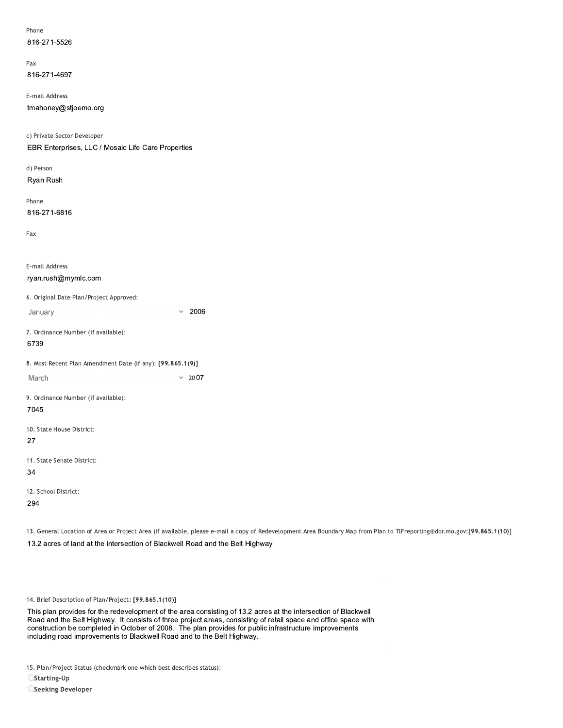| Phone        |  |
|--------------|--|
| 816-271-5526 |  |

rax 816-271-4697

E-mail Address

816-271-5526<br>
Fax<br>
816-271-4697<br>
E-mail Address<br>
tmahoney@stjoemo.org<br>
c) Private Sector Developer<br>
EBR Enterprises, LLC / Mosaic Life Care P<br>
d) Person<br>
Rvan Rush c) Private Sector Developer EBR Enterprises, LLC / Mosaic Life Care Properties

a) Person Ryan Rush

rnone 816-271-6816

| 816-271-6816                                               |              |      |
|------------------------------------------------------------|--------------|------|
| Fax                                                        |              |      |
|                                                            |              |      |
| E-mail Address                                             |              |      |
| ryan.rush@mymlc.com                                        |              |      |
| 6. Original Date Plan/Project Approved:                    |              |      |
| January                                                    | $\checkmark$ | 2006 |
| 7. Ordinance Number (if available):                        |              |      |
| 6739                                                       |              |      |
| 8. Most Recent Plan Amendment Date (if any): [99.865.1(9)] |              |      |
| March                                                      | $\checkmark$ | 2007 |
| 9. Ordinance Number (if available):                        |              |      |
| 7045                                                       |              |      |
| 10. State House District:                                  |              |      |
| 27                                                         |              |      |
| 11. State Senate District:                                 |              |      |
| 34                                                         |              |      |
| 12. School District:                                       |              |      |
|                                                            |              |      |

294

13. General Location of Area or Project Area (if available, please e-mail a copy of Redevelopment Area Boundary Map from Plan to TIFreporting@dor.mo.gov:[99.865.1(10)] 12. School District:<br>
294<br>
13. General Location of Area or Project Area (if available, please e-mail a copy of Redeve<br>
13.2 acres of land at the intersection of Blackwell Road and the Belt Highway<br>
14. Brief Description of

14. Brief Description of Plan/Project: [99.865.1(10)]

13.2 acres of land at the intersection of Blackwell Road and the Belt Highway<br>
14. Brief Description of Plan/Project: [99.865.1(10)]<br>
This plan provides for the redevelopment of the area consisting of 13.2 acres at the int 14. Brief Description of Plan/Project: [99.865.1(10)]<br>This plan provides for the redevelopment of the area consisting of 13.2 acres at the intersection of Blackwell<br>Road and the Belt Highway. It consists of three project a 14. Brief Description of Plan/Project: [99.865.1(10)]<br>This plan provides for the redevelopment of the area consisting of 13.2 acres at the intersection of Blackwe<br>Road and the Belt Highway. It consists of three project cre 14. Brief Description of Plan/Project: [99.865.1(10)]<br>This plan provides for the redevelopment of the area consisting of 13.2 acres at the intersection<br>Road and the Belt Highway. It consists of three project areas, consist

15. Plan/Project Status (checkmark one which best describes status):

 $\bigcirc$ Starting-Up

OSeeking Developer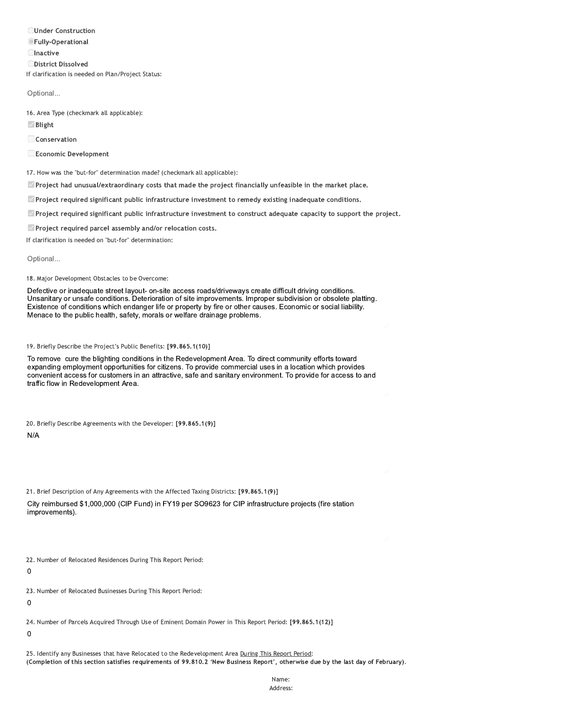**OUnder Construction OFully-Operational Olnactive ODistrict Dissolved** If clarification is needed on Plan/Project Status:

Optional...

16. Area Type (checkmark all applicable):

 $\vee$  Blight

Conservation

Economic Development

17. How was the "but-for" determination made? (checkmark all applicable):

Project had unusual/extraordinary costs that made the project financially unfeasible in the market place.

Project required significant public infrastructure investment to remedy existing inadequate conditions.

<sup>2</sup> Project required significant public infrastructure investment to construct adequate capacity to support the project.

Project required parcel assembly and/or relocation costs.

If clarification is needed on "but-for" determination:

Optional...

18. Major Development Obstacles to be Overcome:

Defective or inadequate street layout- on-site access roads/driveways create difficult driving conditions. Unsanitary or unsafe conditions. Deterioration of site improvements. Improper subdivision or obsolete platting. Existence of conditions which endanger life or property by fire or other causes. Economic or social liability. Menace to the public health, safety, morals or welfare drainage problems.

19. Briefly Describe the Project's Public Benefits: [99.865.1(10)]

To remove cure the blighting conditions in the Redevelopment Area. To direct community efforts toward expanding employment opportunities for citizens. To provide commercial uses in a location which provides convenient access for customers in an attractive, safe and sanitary environment. To provide for access to and traffic flow in Redevelopment Area.

20. Briefly Describe Agreements with the Developer: [99.865.1(9)]

 $N/A$ 

21. Brief Description of Any Agreements with the Affected Taxing Districts: [99.865.1(9)] City reimbursed \$1,000,000 (CIP Fund) in FY19 per SO9623 for CIP infrastructure projects (fire station improvements).

22. Number of Relocated Residences During This Report Period:

 $\mathbf 0$ 

23. Number of Relocated Businesses During This Report Period:

 $\mathbf 0$ 

24. Number of Parcels Acquired Through Use of Eminent Domain Power in This Report Period: [99.865.1(12)]

 $\mathbf 0$ 

25. Identify any Businesses that have Relocated to the Redevelopment Area During This Report Period: (Completion of this section satisfies requirements of 99.810.2 'New Business Report', otherwise due by the last day of February).

> Name: Address: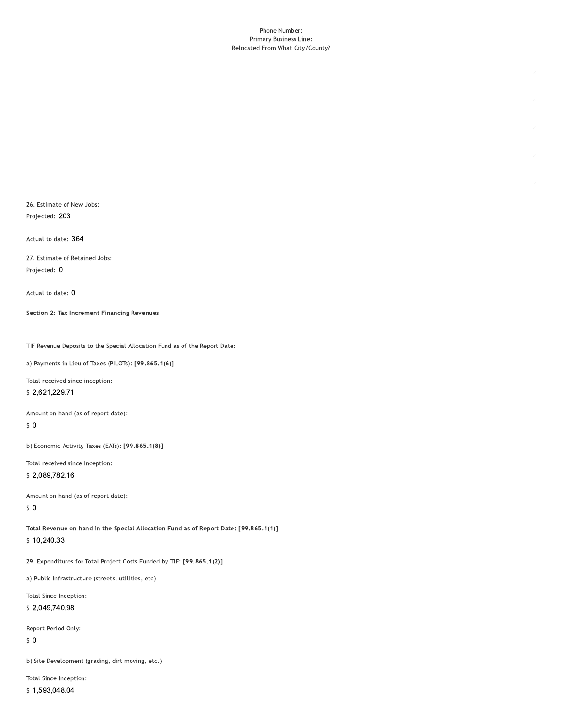#### Phone Number: Primary Business Line: Relocated From What City/County?

26. Estimate of New Jobs: Projected: 203

Actual to date: 364

27. Estimate of Retained Jobs: Projected: 0

Actual to date: 0

Section 2: Tax Increment Financing Revenues

TIF Revenue Deposits to the Special Allocation Fund as of the Report Date:

a) Payments in Lieu of Taxes (PILOTs): [99.865.1(6)]

Total received since inception: \$2,621,229.71

Amount on hand (as of report date):

 $\sqrt{5}$  O

b) Economic Activity Taxes (EATs): [99.865.1(8)]

Total received since inception: \$2,089,782.16

Amount on hand (as of report date):  $50$ 

Total Revenue on hand in the Special Allocation Fund as of Report Date: [99.865.1(1)] \$10,240.33

29. Expenditures for Total Project Costs Funded by TIF: [99.865.1(2)]

a) Public Infrastructure (streets, utilities, etc)

Total Since Inception: \$2,049,740.98

Report Period Only:

 $\sqrt{5}$  O

b) Site Development (grading, dirt moving, etc.)

Total Since Inception:

<sup>\$1,593,048.04</sup>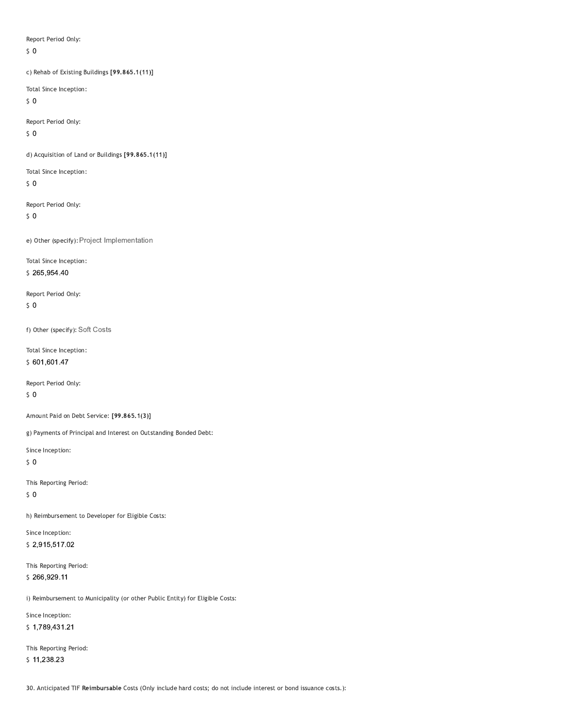Report Period Only:

 $\zeta$  0

c) Rehab of Existing Buildings [99.865.1(11)]

Total Since Inception:

 $\sqrt{5}$  O

Report Period Only:

 $50$ 

d) Acquisition of Land or Buildings [99.865.1(11)]

Total Since Inception:

 $50$ 

Report Period Only:

 $\sqrt{5}$  O

e) Other (specify): Project Implementation

Total Since Inception:

\$265,954.40

Report Period Only:  $\zeta$  0

f) Other (specify): Soft Costs

Total Since Inception: \$601,601.47

Report Period Only:

 $\sqrt{5}$  O

Amount Paid on Debt Service: [99.865.1(3)]

g) Payments of Principal and Interest on Outstanding Bonded Debt:

Since Inception:

 $50$ 

This Reporting Period:

 $\sqrt{5}$  O

h) Reimbursement to Developer for Eligible Costs:

Since Inception: \$2,915,517.02

This Reporting Period: \$266,929.11

i) Reimbursement to Municipality (or other Public Entity) for Eligible Costs:

Since Inception: \$1,789,431.21

This Reporting Period:

 $$11,238.23$ 

30. Anticipated TIF Reimbursable Costs (Only include hard costs; do not include interest or bond issuance costs.):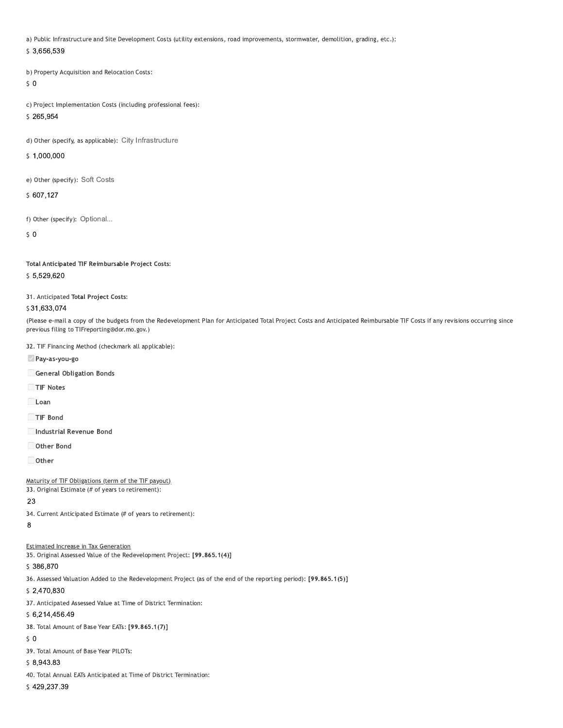a) Public Infrastructure and Site Development Costs (utility extensions, road improvements, stormwater, demolition, grading, etc.):

## \$3,656,539

b) Property Acquisition and Relocation Costs:

# $50$

c) Project Implementation Costs (including professional fees):

# \$265,954

d) Other (specify, as applicable): City Infrastructure

# \$1,000,000

e) Other (specify): Soft Costs

# \$607,127

f) Other (specify): Optional...

 $\mathsf{S}$  0

# Total Anticipated TIF Reimbursable Project Costs:

# \$5,529,620

31. Anticipated Total Project Costs:

# \$31,633,074

(Please e-mail a copy of the budgets from the Redevelopment Plan for Anticipated Total Project Costs and Anticipated Reimbursable TIF Costs if any revisions occurring since previous filing to TIFreporting@dor.mo.gov.)

#### 32. TIF Financing Method (checkmark all applicable):

Pay-as-you-go

General Obligation Bonds

TIF Notes

 $\Box$  Loan

- TIF Bond
- Industrial Revenue Bond
- Other Bond

 $\Box$  Other

# Maturity of TIF Obligations (term of the TIF payout)

33. Original Estimate (# of years to retirement):

# 23

34. Current Anticipated Estimate (# of years to retirement):

# $\overline{8}$

# **Estimated Increase in Tax Generation**

35. Original Assessed Value of the Redevelopment Project: [99.865.1(4)]

# \$386,870

36. Assessed Valuation Added to the Redevelopment Project (as of the end of the reporting period): [99.865.1(5)]

## \$2,470,830

37. Anticipated Assessed Value at Time of District Termination:

# \$6,214,456.49

38. Total Amount of Base Year EATs: [99.865.1(7)]

# $50$

39. Total Amount of Base Year PILOTs:

# $$8,943.83$

40. Total Annual EATs Anticipated at Time of District Termination:

# \$429,237.39